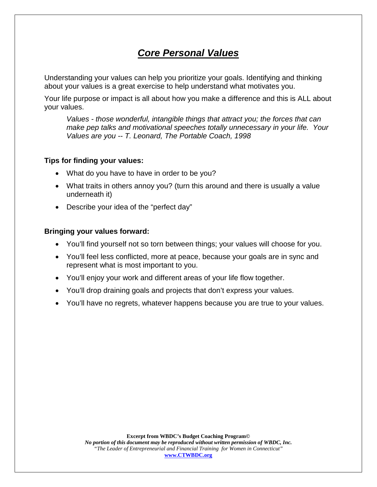# *Core Personal Values*

Understanding your values can help you prioritize your goals. Identifying and thinking about your values is a great exercise to help understand what motivates you.

Your life purpose or impact is all about how you make a difference and this is ALL about your values.

*Values - those wonderful, intangible things that attract you; the forces that can make pep talks and motivational speeches totally unnecessary in your life. Your Values are you -- T. Leonard, The Portable Coach, 1998*

#### **Tips for finding your values:**

- What do you have to have in order to be you?
- What traits in others annoy you? (turn this around and there is usually a value underneath it)
- Describe your idea of the "perfect day"

#### **Bringing your values forward:**

- You'll find yourself not so torn between things; your values will choose for you.
- You'll feel less conflicted, more at peace, because your goals are in sync and represent what is most important to you.
- You'll enjoy your work and different areas of your life flow together.
- You'll drop draining goals and projects that don't express your values.
- You'll have no regrets, whatever happens because you are true to your values.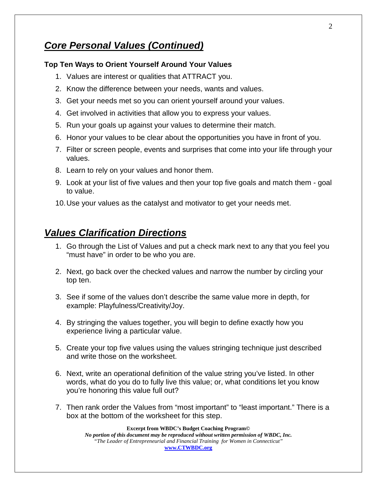## *Core Personal Values (Continued)*

#### **Top Ten Ways to Orient Yourself Around Your Values**

- 1. Values are interest or qualities that ATTRACT you.
- 2. Know the difference between your needs, wants and values.
- 3. Get your needs met so you can orient yourself around your values.
- 4. Get involved in activities that allow you to express your values.
- 5. Run your goals up against your values to determine their match.
- 6. Honor your values to be clear about the opportunities you have in front of you.
- 7. Filter or screen people, events and surprises that come into your life through your values.
- 8. Learn to rely on your values and honor them.
- 9. Look at your list of five values and then your top five goals and match them goal to value.

10.Use your values as the catalyst and motivator to get your needs met.

### *Values Clarification Directions*

- 1. Go through the List of Values and put a check mark next to any that you feel you "must have" in order to be who you are.
- 2. Next, go back over the checked values and narrow the number by circling your top ten.
- 3. See if some of the values don't describe the same value more in depth, for example: Playfulness/Creativity/Joy.
- 4. By stringing the values together, you will begin to define exactly how you experience living a particular value.
- 5. Create your top five values using the values stringing technique just described and write those on the worksheet.
- 6. Next, write an operational definition of the value string you've listed. In other words, what do you do to fully live this value; or, what conditions let you know you're honoring this value full out?
- 7. Then rank order the Values from "most important" to "least important." There is a box at the bottom of the worksheet for this step.

#### **Excerpt from WBDC's Budget Coaching Program©**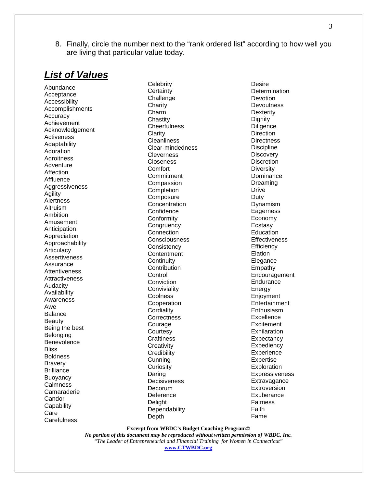8. Finally, circle the number next to the "rank ordered list" according to how well you are living that particular value today.

## *List of Values*

Abundance Acceptance Accessibility Accomplishments **Accuracy** Achievement Acknowledgement **Activeness** Adaptability Adoration **Adroitness** Adventure **Affection** Affluence Aggressiveness Agility **Alertness** Altruism Ambition Amusement **Anticipation** Appreciation Approachability **Articulacy** Assertiveness Assurance **Attentiveness Attractiveness** Audacity Availability Awareness Awe Balance Beauty Being the best Belonging Benevolence **Bliss** Boldness Bravery **Brilliance** Buoyancy Calmness Camaraderie **Candor Capability** Care **Carefulness** 

**Celebrity Certainty** Challenge **Charity** Charm **Chastity Cheerfulness Clarity Cleanliness** Clear-mindedness **Cleverness** Closeness **Comfort Commitment** Compassion **Completion Composure Concentration Confidence** Conformity **Congruency Connection Consciousness Consistency Contentment Continuity Contribution Control Conviction Conviviality** Coolness Cooperation **Cordiality Correctness** Courage **Courtesy Craftiness Creativity Credibility** Cunning **Curiosity** Daring **Decisiveness** Decorum **Deference** Delight **Dependability** Depth

**Desire Determination Devotion Devoutness Dexterity Dignity Diligence Direction Directness Discipline Discovery Discretion Diversity** Dominance Dreaming Drive Duty Dynamism **Eagerness** Economy Ecstasy **Education Effectiveness Efficiency** Elation Elegance Empathy Encouragement Endurance Energy Enjoyment **Entertainment Enthusiasm Excellence Excitement Exhilaration Expectancy Expediency Experience** Expertise **Exploration Expressiveness Extravagance Extroversion Exuberance** Fairness Faith Fame

**Excerpt from WBDC's Budget Coaching Program©**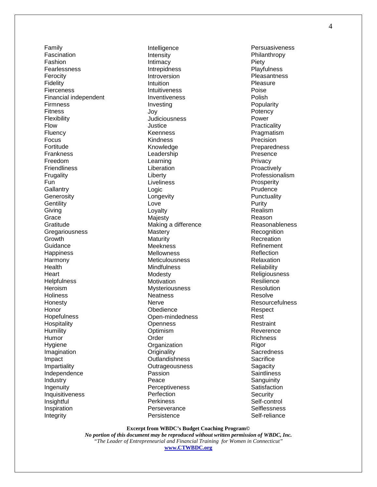Family Fascination Fashion Fearlessness Ferocity Fidelity **Fierceness** Financial independent Firmness Fitness Flexibility Flow **Fluency** Focus Fortitude **Frankness** Freedom Friendliness Frugality Fun **Gallantry Generosity Gentility** Giving Grace **Gratitude Gregariousness** Growth **Guidance Happiness** Harmony Health **Heart Helpfulness Heroism Holiness** Honesty Honor **Hopefulness Hospitality Humility** Humor Hygiene Imagination Impact Impartiality Independence Industry Ingenuity Inquisitiveness Insightful Inspiration Integrity

Intelligence Intensity Intimacy Intrepidness Introversion Intuition Intuitiveness **Inventiveness** Investing Joy **Judiciousness** Justice Keenness **Kindness** Knowledge Leadership Learning Liberation Liberty Liveliness Logic Longevity Love Loyalty **Majesty** Making a difference **Mastery Maturity Meekness Mellowness Meticulousness Mindfulness** Modesty **Motivation Mysteriousness Neatness Nerve Obedience** Open-mindedness **Openness Optimism** Order **Organization Originality Outlandishness Outrageousness** Passion Peace Perceptiveness **Perfection Perkiness Perseverance Persistence** 

Persuasiveness Philanthropy Piety **Playfulness Pleasantness Pleasure** Poise Polish Popularity **Potency** Power **Practicality Pragmatism** Precision **Preparedness** Presence **Privacy Proactively** Professionalism **Prosperity Prudence Punctuality** Purity Realism Reason Reasonableness **Recognition Recreation** Refinement Reflection Relaxation **Reliability** Religiousness Resilience Resolution Resolve Resourcefulness **Respect** Rest Restraint Reverence Richness Rigor **Sacredness Sacrifice Sagacity Saintliness Sanguinity Satisfaction Security** Self-control **Selflessness** Self-reliance

**Excerpt from WBDC's Budget Coaching Program©**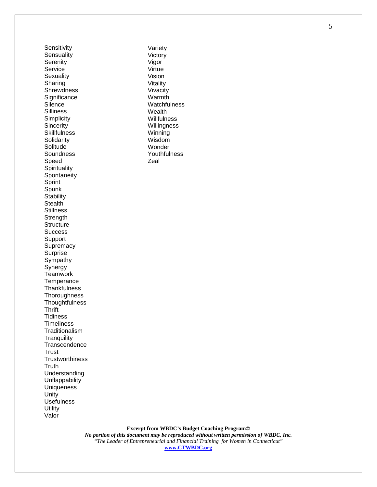**Sensitivity Sensuality Serenity** Service Sexuality Sharing **Shrewdness Significance Silence Silliness Simplicity Sincerity Skillfulness** Solidarity **Solitude Soundness** Speed **Spirituality Spontaneity Sprint Spunk Stability Stealth Stillness Strength Structure Success** Support **Supremacy** Surprise **Sympathy** Synergy Teamwork **Temperance Thankfulness Thoroughness Thoughtfulness Thrift Tidiness Timeliness Traditionalism Tranquility Transcendence Trust Trustworthiness Truth** Understanding Unflappability **Uniqueness** Unity Usefulness **Utility** Valor

Variety Victory Vigor Virtue Vision Vitality Vivacity Warmth **Watchfulness** Wealth **Willfulness** Willingness Winning Wisdom Wonder Youthfulness Zeal

**Excerpt from WBDC's Budget Coaching Program©**